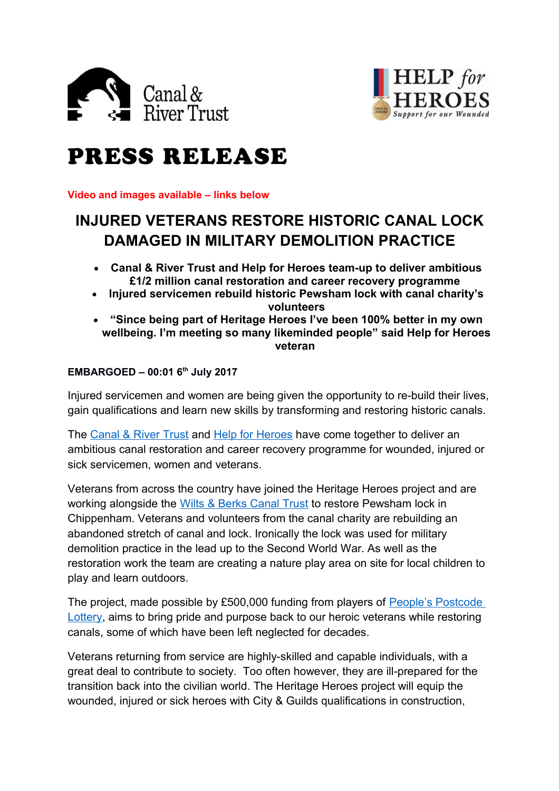



# PRESS RELEASE

**Video and images available – links below** 

# **INJURED VETERANS RESTORE HISTORIC CANAL LOCK DAMAGED IN MILITARY DEMOLITION PRACTICE**

- **Canal & River Trust and Help for Heroes team-up to deliver ambitious £1/2 million canal restoration and career recovery programme**
- **Injured servicemen rebuild historic Pewsham lock with canal charity's volunteers**
- **"Since being part of Heritage Heroes I've been 100% better in my own wellbeing. I'm meeting so many likeminded people" said Help for Heroes veteran**

## **EMBARGOED – 00:01 6th July 2017**

Injured servicemen and women are being given the opportunity to re-build their lives, gain qualifications and learn new skills by transforming and restoring historic canals.

The [Canal & River Trust](https://canalrivertrust.org.uk/) and [Help for Heroes](http://www.helpforheroes.org.uk/) have come together to deliver an ambitious canal restoration and career recovery programme for wounded, injured or sick servicemen, women and veterans.

Veterans from across the country have joined the Heritage Heroes project and are working alongside the [Wilts & Berks Canal Trust](https://www.wbct.org.uk/) to restore Pewsham lock in Chippenham. Veterans and volunteers from the canal charity are rebuilding an abandoned stretch of canal and lock. Ironically the lock was used for military demolition practice in the lead up to the Second World War. As well as the restoration work the team are creating a nature play area on site for local children to play and learn outdoors.

The project, made possible by £500,000 funding from players of [People's Postcode](http://www.postcodelottery.co.uk/)  [Lottery,](http://www.postcodelottery.co.uk/) aims to bring pride and purpose back to our heroic veterans while restoring canals, some of which have been left neglected for decades.

Veterans returning from service are highly-skilled and capable individuals, with a great deal to contribute to society. Too often however, they are ill-prepared for the transition back into the civilian world. The Heritage Heroes project will equip the wounded, injured or sick heroes with City & Guilds qualifications in construction,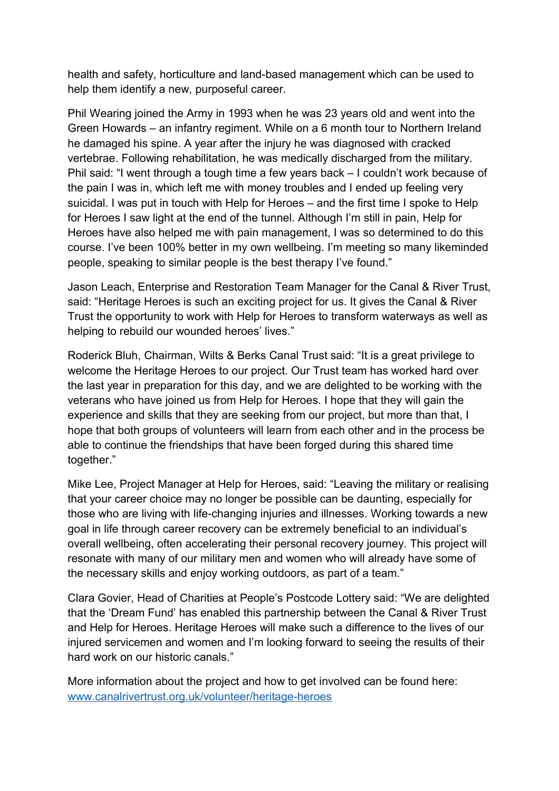health and safety, horticulture and land-based management which can be used to help them identify a new, purposeful career.

Phil Wearing joined the Army in 1993 when he was 23 years old and went into the Green Howards – an infantry regiment. While on a 6 month tour to Northern Ireland he damaged his spine. A year after the injury he was diagnosed with cracked vertebrae. Following rehabilitation, he was medically discharged from the military. Phil said: "I went through a tough time a few years back – I couldn't work because of the pain I was in, which left me with money troubles and I ended up feeling very suicidal. I was put in touch with Help for Heroes – and the first time I spoke to Help for Heroes I saw light at the end of the tunnel. Although I'm still in pain, Help for Heroes have also helped me with pain management, I was so determined to do this course. I've been 100% better in my own wellbeing. I'm meeting so many likeminded people, speaking to similar people is the best therapy I've found."

Jason Leach, Enterprise and Restoration Team Manager for the Canal & River Trust, said: "Heritage Heroes is such an exciting project for us. It gives the Canal & River Trust the opportunity to work with Help for Heroes to transform waterways as well as helping to rebuild our wounded heroes' lives."

Roderick Bluh, Chairman, Wilts & Berks Canal Trust said: "It is a great privilege to welcome the Heritage Heroes to our project. Our Trust team has worked hard over the last year in preparation for this day, and we are delighted to be working with the veterans who have joined us from Help for Heroes. I hope that they will gain the experience and skills that they are seeking from our project, but more than that, I hope that both groups of volunteers will learn from each other and in the process be able to continue the friendships that have been forged during this shared time together."

Mike Lee, Project Manager at Help for Heroes, said: "Leaving the military or realising that your career choice may no longer be possible can be daunting, especially for those who are living with life-changing injuries and illnesses. Working towards a new goal in life through career recovery can be extremely beneficial to an individual's overall wellbeing, often accelerating their personal recovery journey. This project will resonate with many of our military men and women who will already have some of the necessary skills and enjoy working outdoors, as part of a team."

Clara Govier, Head of Charities at People's Postcode Lottery said: "We are delighted that the 'Dream Fund' has enabled this partnership between the Canal & River Trust and Help for Heroes. Heritage Heroes will make such a difference to the lives of our injured servicemen and women and I'm looking forward to seeing the results of their hard work on our historic canals."

More information about the project and how to get involved can be found here: [www.canalrivertrust.org.uk/volunteer/heritage-heroes](http://www.canalrivertrust.org.uk/volunteer/heritage-heroes)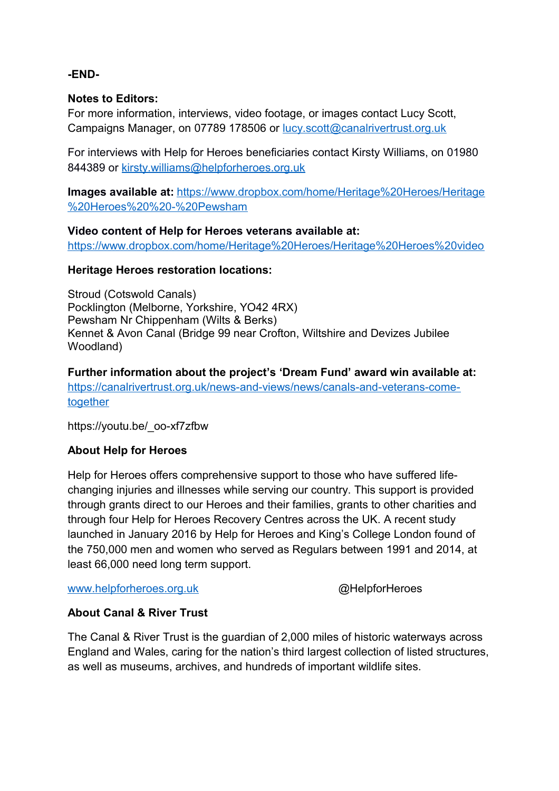#### **-END-**

#### **Notes to Editors:**

For more information, interviews, video footage, or images contact Lucy Scott, Campaigns Manager, on 07789 178506 or [lucy.scott@canalrivertrust.org.uk](mailto:lucy.scott@canalrivertrust.org.uk)

For interviews with Help for Heroes beneficiaries contact Kirsty Williams, on 01980 844389 or [kirsty.williams@helpforheroes.org.uk](mailto:kirsty.williams@helpforheroes.org.uk)

**Images available at:** [https://www.dropbox.com/home/Heritage%20Heroes/Heritage](https://www.dropbox.com/home/Heritage%20Heroes/Heritage%20Heroes%20%20-%20Pewsham) [%20Heroes%20%20-%20Pewsham](https://www.dropbox.com/home/Heritage%20Heroes/Heritage%20Heroes%20%20-%20Pewsham)

#### **Video content of Help for Heroes veterans available at:**

<https://www.dropbox.com/home/Heritage%20Heroes/Heritage%20Heroes%20video>

#### **Heritage Heroes restoration locations:**

Stroud (Cotswold Canals) Pocklington (Melborne, Yorkshire, YO42 4RX) Pewsham Nr Chippenham (Wilts & Berks) Kennet & Avon Canal (Bridge 99 near Crofton, Wiltshire and Devizes Jubilee Woodland)

**Further information about the project's 'Dream Fund' award win available at:**  [https://canalrivertrust.org.uk/news-and-views/news/canals-and-veterans-come](https://canalrivertrust.org.uk/news-and-views/news/canals-and-veterans-come-together)[together](https://canalrivertrust.org.uk/news-and-views/news/canals-and-veterans-come-together)

https://youtu.be/\_oo-xf7zfbw

## **About Help for Heroes**

Help for Heroes offers comprehensive support to those who have suffered lifechanging injuries and illnesses while serving our country. This support is provided through grants direct to our Heroes and their families, grants to other charities and through four Help for Heroes Recovery Centres across the UK. A recent study launched in January 2016 by Help for Heroes and King's College London found of the 750,000 men and women who served as Regulars between 1991 and 2014, at least 66,000 need long term support.

[www.helpforheroes.org.uk](http://www.helpforheroes.org.uk/) and a control and a control and a control and a control and a control and a control and a control and a control and a control and a control and a control and a control and a control and a control a

# **About Canal & River Trust**

The Canal & River Trust is the guardian of 2,000 miles of historic waterways across England and Wales, caring for the nation's third largest collection of listed structures, as well as museums, archives, and hundreds of important wildlife sites.